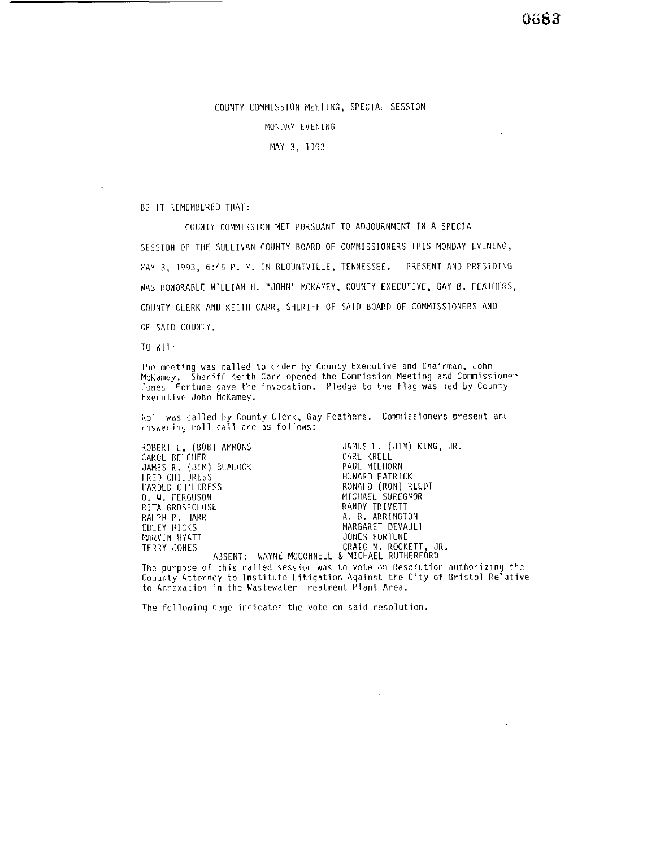## 0683

## COUNTY COMMISSION MEETING, SPECIAL SESSION

## MONDAY EVENING

MAY 3, 1993

BE IT REMEMBERED THAT:

COUNTY COMMISSION MET PURSUANT TO ADJOURNMENT IN A SPECIAL SESSION OF THE SULLIVAN COUNTY BOAR0 OF COMMISSIONERS THIS MONDAY EVENING, MAY 3, 1993, 6:45 P. M. IN RLOUNTVILLE, TENNESSEE. PRESENT AND PRESIDING WAS HONORABLE WILLIAM II. "JOHN" MCKAMEY, COUNTY EXECUTIVE, GAY B. FEATHERS, COUNTY CLERK AND KEITH CARR, SHERIFF OF SAID BOARD OF COMMISSIONERS AND OF SAID COUNTY,

TO WIT:

The meeting was called to order by County Executive and Chairman, John McKamey. Sheriff Keith Carr opened the Commission Meeting and Commissioner Jones Fortune gave the invocation. Pledge to the flag was led by County Executive John McKamey.

Roll was called by County Clerk, Gay Feathers. Commissioners present and answering roll call are as follows:

| ROBERT L, (BOB) AMMONS | JAMES L. (JIM) KING. JR.                     |
|------------------------|----------------------------------------------|
| CAROL BELCHER          | CARL KRELL                                   |
| JAMES R. (JIM) BLALOCK | PAUL MILHORN                                 |
| FRED CHILDRESS         | HOWARD PATRICK                               |
| HAROLD CHILDRESS       | RONALD (RON) REEDT                           |
| O. W. FERGUSON         | MICHAEL SUREGNOR                             |
| RITA GROSECLOSE        | RANDY TRIVETT                                |
| RALPH P. HARR          | A. B. ARRINGTON                              |
| EDLEY HICKS            | MARGARET DEVAULT                             |
| MARVIN HYATT           | JONES FORTUNE                                |
| TERRY JONES            | CRAIG M. ROCKETT, JR.                        |
|                        | ABSENT: WAYNE MCCONNELL & MICHAEL RUTHERFORD |

The purpose of this called session was to vote on Resolution authorizing the Couunty Attorney to Institute Litigation Against the City of Bristol Relative to Annexation in the Wastewater Treatment Plant Area.

 $\overline{a}$ 

The following page indicates the vote on said resolution.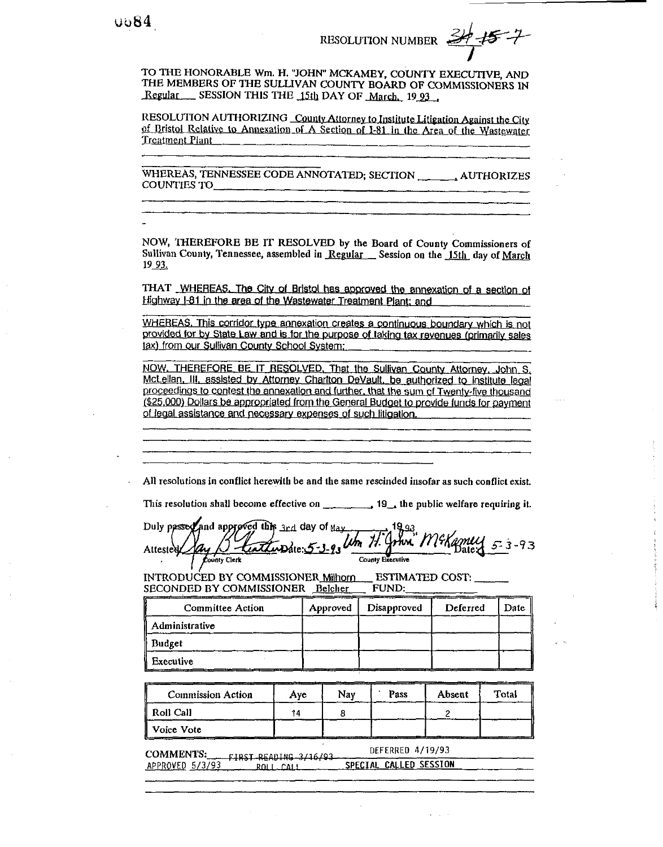**RESOLUTION NUMBER** 

TO THE HONORABLE Wm. H. "JOHN" MCKAMEY, COUNTY EXECUTIVE, AND THE MEMBERS OF THE SULLIVAN COUNTY BOARD OF COMMISSIONERS IN Regular SESSION THIS THE 15th DAY OF March, 1993.

RESOLUTION AUTHORIZING County Attorney to Institute Litigation Against the City of Bristol Relative to Annexation of A Section of I-81 in the Area of the Wastewater **Treatment Plant** 

WHEREAS, TENNESSEE CODE ANNOTATED; SECTION \_\_\_\_\_\_\_\_ AUTHORIZES COUNTIES TO

NOW, THEREFORE BE IT RESOLVED by the Board of County Commissioners of Sullivan County, Tennessee, assembled in Regular Session on the 15th day of March 19 93.

THAT WHEREAS. The City of Bristol has approved the annexation of a section of Highway I-81 in the area of the Wastewater Treatment Plant; and

WHEREAS. This corridor type annexation creates a continuous boundary which is not provided for by State Law and is for the purpose of taking tax revenues (primarily sales tax) from our Sullivan County School System;

NOW, THEREFORE BE IT RESOLVED, That the Sullivan County Attorney, John S, McLellan, III, assisted by Attorney Charlton DeVault, be authorized to institute legal proceedings to contest the annexation and further, that the sum of Twenty-five thousand (\$25,000) Dollars be appropriated from the General Budget to provide funds for payment of legal assistance and necessary expenses of such litigation.

All resolutions in conflict herewith be and the same rescinded insofar as such conflict exist.

This resolution shall become effective on 19, the public welfare requiring it.

Duly passed and approved this 3rd day of May enttupdie: 5-3 um 71. Attested Lounty Clerk County Executive

INTRODUCED BY COMMISSIONER Milhorn ESTIMATED COST: SECONDED BY COMMISSIONER Belcher **FUND:** 

| <b>Committee Action</b> | Approved | Disapproved | Deferred |  |
|-------------------------|----------|-------------|----------|--|
| Administrative          |          |             |          |  |
| <b>Budget</b>           |          |             |          |  |
| Executive               |          |             |          |  |

| <b>Commission Action</b> | Ave | Nav | Pass | Absent | Total |
|--------------------------|-----|-----|------|--------|-------|
| Roll Call                |     |     |      |        |       |
| Voice Vote               |     |     |      |        |       |

DEFERRED 4/19/93 **COMMENTS:** FIRST-READING 3/16/93 SPECIAL CALLED SESSION APPROVED 5/3/93  $ROL\_CAI$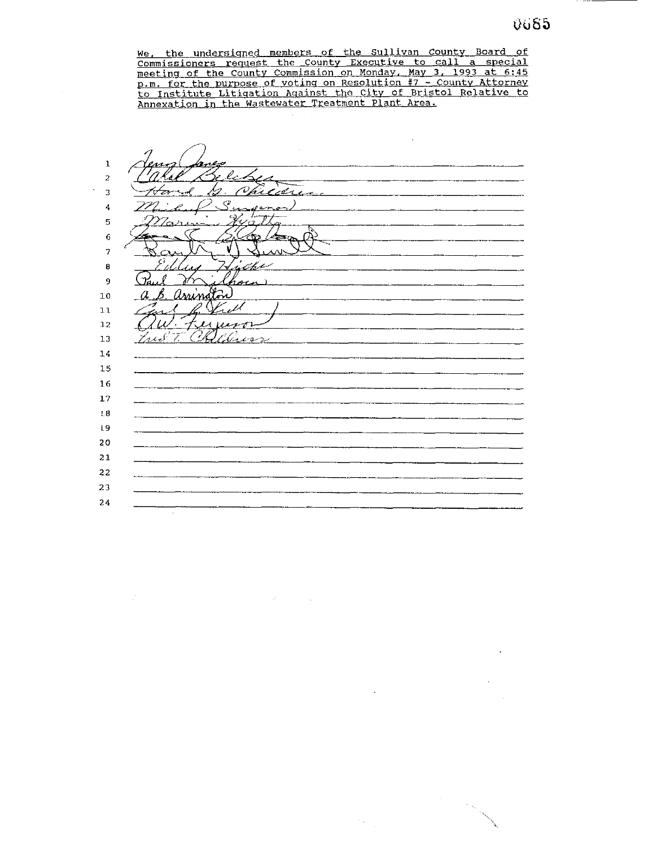We, the undersigned members of the Sullivan County Board of <u>Commissioners request the County Executive to call a special</u> meeting of the County Commission on Mondav. May 3, 1993 at **6:45**  p.m. for the DUrDose of voting on Resolution **#7** - County Attorney <u>o Institute Litigation Aqainst the City of Bristol Relative to</u> Annexation in the Wastewater Treatment Plant Area.

 $\mathbf 1$ - 1  $\overline{a}$  $\mathscr{N}$ Chicere  $\overline{3}$ ה ≮  $\mathcal{P}$  $\overline{4}$ ╱ سيء H 5 6 Ω  $\overline{7}$ 8 4 l, 9 a. arrindon  $10\,$  $\overline{a}$ В.  $\prime$  $11$  $\overline{\mu}$ 12 Fred T. Clara  $13$  $14$ 15  ${\bf 16}$ 17  $1.8\,$  $\pm 9$  $20$ 21 22 23 24

 $\mathcal{A}^{\text{max}}$  , we have

 $\ddot{\phantom{a}}$ 

 $\sim \zeta_{\rm g}$